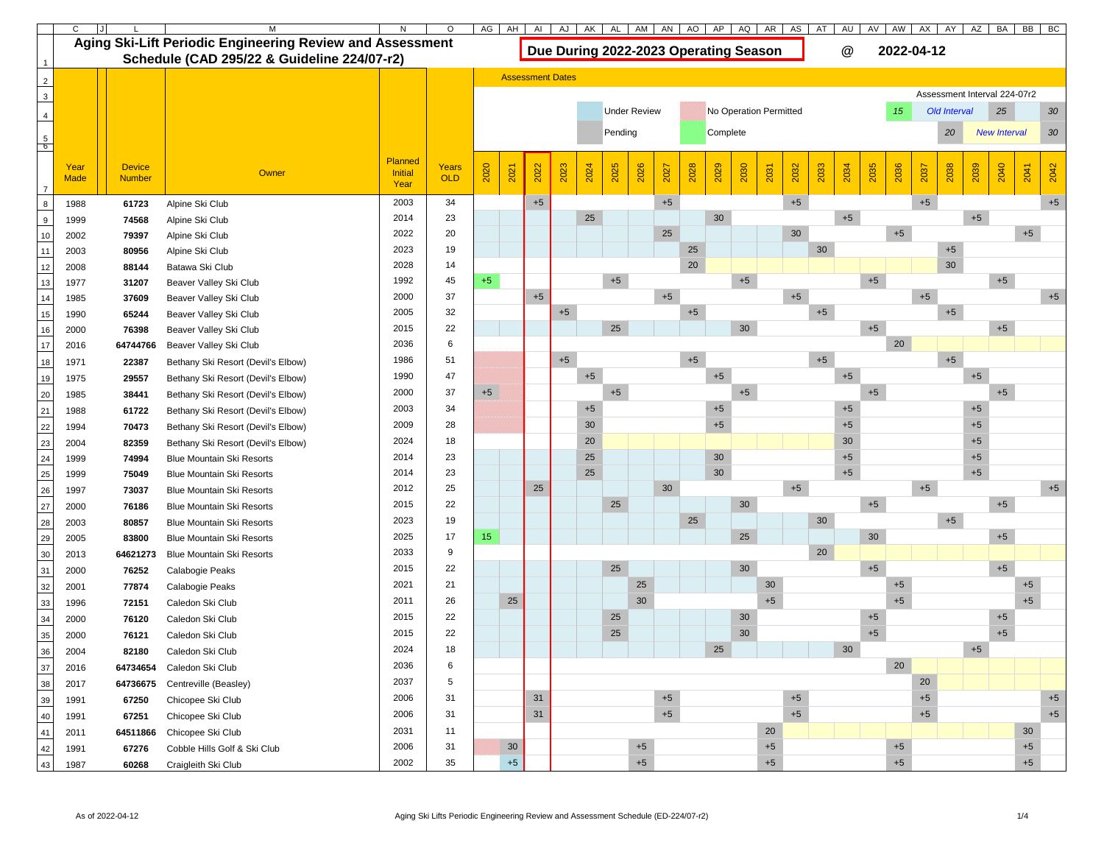|                                                                                           |             | AH<br>AP<br>AQ<br>AW<br>AG<br>AN<br>AO<br>AR I<br>AS<br>AV<br>AJ<br>AK<br>AM<br>AU<br>AI<br>AL<br>AT |                                                                  |                 |              |                                       |                         |      |                                               |        |         |      |      |      | AX              | AY   | AZ   | BA   | <b>BB</b><br>BC |                                 |      |            |              |      |                              |                     |              |  |  |
|-------------------------------------------------------------------------------------------|-------------|------------------------------------------------------------------------------------------------------|------------------------------------------------------------------|-----------------|--------------|---------------------------------------|-------------------------|------|-----------------------------------------------|--------|---------|------|------|------|-----------------|------|------|------|-----------------|---------------------------------|------|------------|--------------|------|------------------------------|---------------------|--------------|--|--|
|                                                                                           |             |                                                                                                      | <b>Aging Ski-Lift Periodic Engineering Review and Assessment</b> |                 |              | Due During 2022-2023 Operating Season |                         |      |                                               |        |         |      |      |      |                 |      |      |      |                 | $\bm{\mathsf{\textcircled{a}}}$ |      | 2022-04-12 |              |      |                              |                     |              |  |  |
|                                                                                           |             |                                                                                                      | Schedule (CAD 295/22 & Guideline 224/07-r2)                      |                 |              |                                       |                         |      |                                               |        |         |      |      |      |                 |      |      |      |                 |                                 |      |            |              |      |                              |                     |              |  |  |
|                                                                                           |             |                                                                                                      |                                                                  |                 |              |                                       | <b>Assessment Dates</b> |      |                                               |        |         |      |      |      |                 |      |      |      |                 |                                 |      |            |              |      |                              |                     |              |  |  |
| $\begin{array}{c}\n2 \\ 3\n\end{array}$                                                   |             |                                                                                                      |                                                                  |                 |              |                                       |                         |      |                                               |        |         |      |      |      |                 |      |      |      |                 |                                 |      |            |              |      | Assessment Interval 224-07r2 |                     |              |  |  |
| $\overline{4}$                                                                            |             |                                                                                                      |                                                                  |                 |              |                                       |                         |      | <b>Under Review</b><br>No Operation Permitted |        |         |      |      |      |                 |      |      |      |                 |                                 | 15   |            | Old Interval |      | 25                           | 30                  |              |  |  |
|                                                                                           |             |                                                                                                      |                                                                  |                 |              |                                       |                         |      |                                               |        | Pending |      |      |      | Complete        |      |      |      |                 |                                 |      |            |              | 20   |                              | <b>New Interval</b> | 30           |  |  |
| $\frac{5}{6}$                                                                             |             |                                                                                                      |                                                                  |                 |              |                                       |                         |      |                                               |        |         |      |      |      |                 |      |      |      |                 |                                 |      |            |              |      |                              |                     |              |  |  |
|                                                                                           | Year        | <b>Device</b>                                                                                        |                                                                  | <b>Planned</b>  | <b>Years</b> |                                       |                         |      |                                               |        |         |      |      |      |                 |      |      |      |                 |                                 |      |            |              |      |                              |                     |              |  |  |
|                                                                                           | <b>Made</b> | <b>Number</b>                                                                                        | Owner                                                            | Initial<br>Year | OLD          | 2020                                  | 2021                    | 2022 | 2023                                          | 2024   | 2025    | 2026 | 2027 | 2028 | 2029            | 2030 | 2031 | 2032 | 2033            | 2034                            | 2035 | 2036       | 2037         | 2038 | 2039                         | 2040                | 2042<br>2041 |  |  |
| $\boldsymbol{8}$                                                                          | 1988        | 61723                                                                                                | Alpine Ski Club                                                  | 2003            | 34           |                                       |                         | $+5$ |                                               |        |         |      | $+5$ |      |                 |      |      | $+5$ |                 |                                 |      |            | $+5$         |      |                              |                     | $+5$         |  |  |
| $\overline{9}$                                                                            | 1999        | 74568                                                                                                | Alpine Ski Club                                                  | 2014            | 23           |                                       |                         |      |                                               | 25     |         |      |      |      | 30              |      |      |      |                 | $+5$                            |      |            |              |      | $+5$                         |                     |              |  |  |
| $10$                                                                                      | 2002        | 79397                                                                                                | Alpine Ski Club                                                  | 2022            | 20           |                                       |                         |      |                                               |        |         |      | 25   |      |                 |      |      | 30   |                 |                                 |      | $+5$       |              |      |                              |                     | $+5$         |  |  |
| $\frac{1}{11}$                                                                            | 2003        | 80956                                                                                                | Alpine Ski Club                                                  | 2023            | 19           |                                       |                         |      |                                               |        |         |      |      | 25   |                 |      |      |      | 30              |                                 |      |            |              | $+5$ |                              |                     |              |  |  |
| $\frac{1}{12}$                                                                            | 2008        | 88144                                                                                                | Batawa Ski Club                                                  | 2028            | 14           |                                       |                         |      |                                               |        |         |      |      | 20   |                 |      |      |      |                 |                                 |      |            |              | 30   |                              |                     |              |  |  |
| $\frac{1}{13}$                                                                            | 1977        | 31207                                                                                                | Beaver Valley Ski Club                                           | 1992            | 45           | $+5$                                  |                         |      |                                               |        | $+5$    |      |      |      |                 | $+5$ |      |      |                 |                                 | $+5$ |            |              |      |                              | $+5$                |              |  |  |
| $\frac{1}{14}$                                                                            | 1985        | 37609                                                                                                | Beaver Valley Ski Club                                           | 2000            | 37           |                                       |                         | $+5$ |                                               |        |         |      | $+5$ |      |                 |      |      | $+5$ |                 |                                 |      |            | $+5$         |      |                              |                     | $+5$         |  |  |
| $\frac{1}{15}$                                                                            | 1990        | 65244                                                                                                | Beaver Valley Ski Club                                           | 2005            | 32           |                                       |                         |      | $+5$                                          |        |         |      |      | $+5$ |                 |      |      |      | $+5$            |                                 |      |            |              | $+5$ |                              |                     |              |  |  |
| $\frac{1}{16}$                                                                            | 2000        | 76398                                                                                                | Beaver Valley Ski Club                                           | 2015            | 22           |                                       |                         |      |                                               |        | 25      |      |      |      |                 | 30   |      |      |                 |                                 | $+5$ |            |              |      |                              | $+5$                |              |  |  |
| $\frac{1}{17}$                                                                            | 2016        | 64744766                                                                                             | Beaver Valley Ski Club                                           | 2036            | 6            |                                       |                         |      |                                               |        |         |      |      |      |                 |      |      |      |                 |                                 |      | 20         |              |      |                              |                     |              |  |  |
| 18                                                                                        | 1971        | 22387                                                                                                | Bethany Ski Resort (Devil's Elbow)                               | 1986            | 51           |                                       |                         |      | $+5$                                          |        |         |      |      | $+5$ |                 | $+5$ |      |      |                 |                                 |      |            |              | $+5$ |                              |                     |              |  |  |
| 19                                                                                        | 1975        | 29557                                                                                                | Bethany Ski Resort (Devil's Elbow)                               | 1990            | 47           |                                       |                         |      | $+5$                                          |        |         |      |      |      | $+5$            |      |      |      |                 | $+5$                            |      |            |              |      | $+5$                         |                     |              |  |  |
|                                                                                           | 1985        | 38441                                                                                                | Bethany Ski Resort (Devil's Elbow)                               | 2000            | 37           | $+5$                                  |                         |      |                                               | $+5$   |         |      |      |      |                 | $+5$ |      |      |                 |                                 |      |            |              |      |                              |                     |              |  |  |
|                                                                                           | 1988        | 61722                                                                                                | Bethany Ski Resort (Devil's Elbow)                               | 2003            | 34           |                                       |                         |      |                                               | $+5$   |         |      |      |      | $+5$            |      |      |      |                 |                                 |      |            |              |      |                              |                     |              |  |  |
|                                                                                           | 1994        | 70473                                                                                                | Bethany Ski Resort (Devil's Elbow)                               | 2009            | 28           |                                       |                         |      |                                               | $30\,$ |         |      |      |      | $+5$            |      |      |      |                 | $+5$                            |      |            |              |      | $+5$                         |                     |              |  |  |
|                                                                                           | 2004        | 82359                                                                                                | Bethany Ski Resort (Devil's Elbow)                               | 2024            | 18           |                                       |                         |      |                                               | 20     |         |      |      |      |                 |      |      |      |                 | 30                              |      |            |              |      | $+5$                         |                     |              |  |  |
|                                                                                           | 1999        | 74994                                                                                                | <b>Blue Mountain Ski Resorts</b>                                 | 2014            | 23           |                                       |                         |      |                                               | $25\,$ |         |      |      |      | $30\,$          |      |      |      |                 | $+5$                            |      |            |              |      | $+5$                         |                     |              |  |  |
|                                                                                           | 1999        | 75049                                                                                                | <b>Blue Mountain Ski Resorts</b>                                 | 2014            | 23           |                                       |                         |      |                                               | $25\,$ |         |      |      |      | 30 <sup>°</sup> |      |      |      |                 | $+5$                            |      |            |              |      | $+5$                         |                     |              |  |  |
| 20<br>22<br>24<br>25<br>25<br>27                                                          | 1997        | 73037                                                                                                | <b>Blue Mountain Ski Resorts</b>                                 | 2012            | 25           |                                       |                         | 25   |                                               |        |         |      | 30   |      |                 |      |      | $+5$ |                 |                                 |      |            | $+5$         |      |                              |                     | $+5$         |  |  |
|                                                                                           | 2000        | 76186                                                                                                | <b>Blue Mountain Ski Resorts</b>                                 | 2015            | 22           |                                       |                         |      |                                               |        | 25      |      |      |      |                 | 30   |      |      |                 |                                 | $+5$ |            |              |      |                              | $+5$                |              |  |  |
|                                                                                           | 2003        | 80857                                                                                                | <b>Blue Mountain Ski Resorts</b>                                 | 2023            | 19           |                                       |                         |      |                                               |        |         |      |      | 25   |                 |      |      |      | 30              |                                 |      |            |              | $+5$ |                              |                     |              |  |  |
|                                                                                           | 2005        | 83800                                                                                                | <b>Blue Mountain Ski Resorts</b>                                 | 2025            | 17           | 15                                    |                         |      |                                               |        |         |      |      |      |                 | 25   |      |      |                 |                                 | 30   |            |              |      |                              | $+5$                |              |  |  |
| $\begin{array}{ c c }\n\hline\n28 \\ \hline\n29 \\ \hline\n30 \\ \hline\n31\n\end{array}$ | 2013        | 64621273                                                                                             | <b>Blue Mountain Ski Resorts</b>                                 | 2033            | 9            |                                       |                         |      |                                               |        |         |      |      |      |                 |      |      |      | 20              |                                 |      |            |              |      |                              |                     |              |  |  |
|                                                                                           | 2000        | 76252                                                                                                | Calabogie Peaks                                                  | 2015            | 22           |                                       |                         |      |                                               |        | 25      |      |      |      |                 | 30   |      |      |                 |                                 | $+5$ |            |              |      |                              | $+5$                |              |  |  |
| $\frac{32}{33}$                                                                           | 2001        | 77874                                                                                                | Calabogie Peaks                                                  | 2021            | 21           |                                       |                         |      |                                               |        |         | 25   |      |      |                 |      | 30   |      |                 |                                 |      | $+5$       |              |      |                              |                     | $+5$         |  |  |
|                                                                                           | 1996        | 72151                                                                                                | Caledon Ski Club                                                 | 2011            | 26           |                                       | 25                      |      |                                               |        |         | 30   |      |      |                 |      | $+5$ |      |                 |                                 |      | $+5$       |              |      |                              |                     | $+5$         |  |  |
| $\begin{array}{r} \hline 34 \\ \hline 35 \\ \hline 36 \end{array}$                        | 2000        | 76120                                                                                                | Caledon Ski Club                                                 | 2015            | 22           |                                       |                         |      |                                               |        | 25      |      |      |      |                 | 30   |      |      |                 |                                 | $+5$ |            |              |      |                              | $+5$                |              |  |  |
|                                                                                           | 2000        | 76121                                                                                                | Caledon Ski Club                                                 | 2015            | 22           |                                       |                         |      |                                               |        | 25      |      |      |      |                 | 30   |      |      |                 |                                 | $+5$ |            |              |      |                              | $+5$                |              |  |  |
|                                                                                           | 2004        | 82180                                                                                                | Caledon Ski Club                                                 | 2024            | 18           |                                       |                         |      |                                               |        |         |      |      |      | 25              |      |      |      |                 | 30                              |      |            |              |      | $+5$                         |                     |              |  |  |
| $\begin{array}{c}\n 37 \\  \hline\n 38\n \end{array}$                                     | 2016        | 64734654                                                                                             | Caledon Ski Club                                                 | 2036            | 6            |                                       |                         |      |                                               |        |         |      |      |      |                 |      |      |      |                 |                                 |      | 20         |              |      |                              |                     |              |  |  |
|                                                                                           | 2017        | 64736675                                                                                             | Centreville (Beasley)                                            | 2037            | 5            |                                       |                         |      |                                               |        |         |      |      |      |                 |      |      |      |                 |                                 |      |            | 20           |      |                              |                     |              |  |  |
| $\frac{1}{39}$                                                                            | 1991        | 67250                                                                                                | Chicopee Ski Club                                                | 2006            | 31           |                                       |                         | 31   |                                               |        |         |      | $+5$ |      |                 |      |      | $+5$ |                 |                                 |      |            | $+5$         |      |                              |                     | $+5$         |  |  |
| $\frac{1}{40}$                                                                            | 1991        | 67251                                                                                                | Chicopee Ski Club                                                | 2006            | 31           |                                       |                         | 31   |                                               |        |         |      | $+5$ |      |                 |      |      | $+5$ |                 |                                 |      |            | $+5$         |      |                              |                     | $+5$         |  |  |
| 41                                                                                        | 2011        | 64511866                                                                                             | Chicopee Ski Club                                                | 2031            | 11           |                                       |                         |      |                                               |        |         |      |      | 20   |                 |      |      |      |                 |                                 |      |            |              |      |                              |                     | 30           |  |  |
| $\overline{42}$<br>l,                                                                     | 1991        | 67276                                                                                                | Cobble Hills Golf & Ski Club                                     | 2006            | 31           |                                       | 30                      |      |                                               |        |         | $+5$ |      | $+5$ |                 |      |      |      |                 |                                 |      | $+5$       |              |      |                              | $+5$                |              |  |  |
| 43                                                                                        | 1987        | 60268                                                                                                | Craigleith Ski Club                                              | 2002            | $35\,$       |                                       | $+5$                    |      |                                               |        |         | $+5$ |      |      |                 |      | $+5$ |      |                 |                                 |      | $+5$       |              |      |                              |                     | $+5$         |  |  |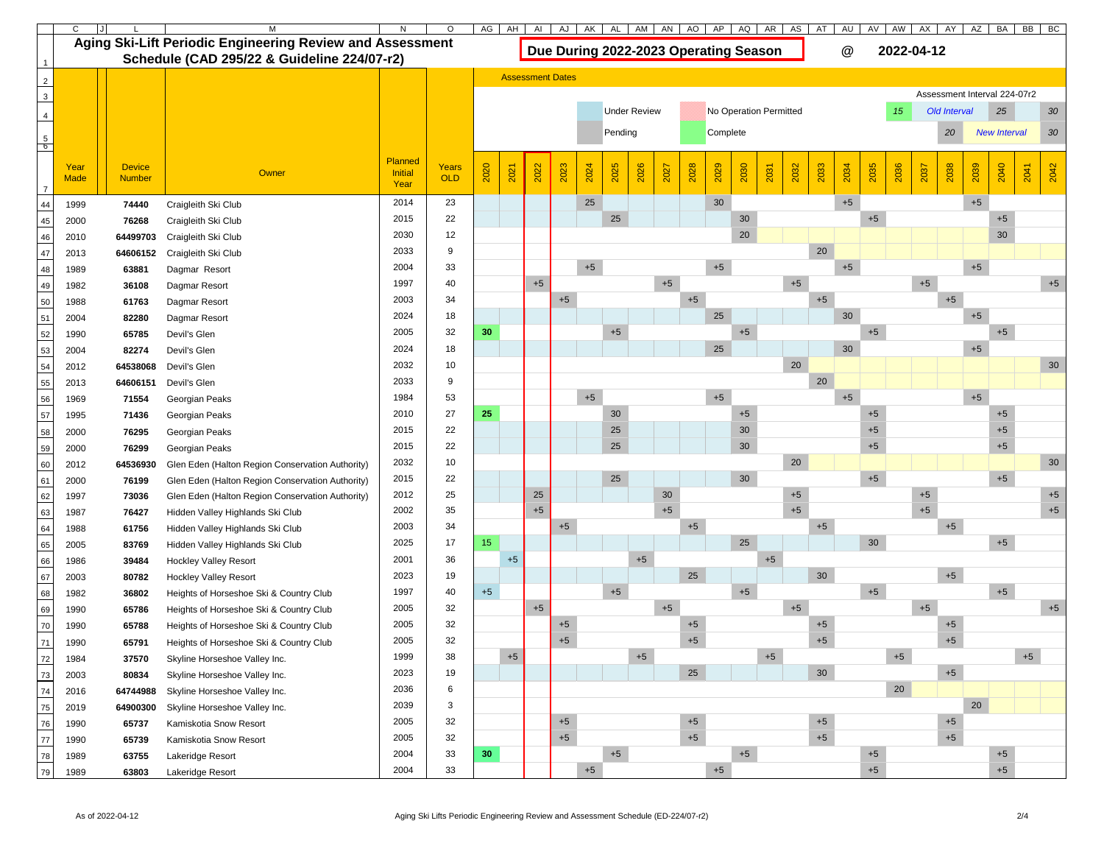|                                               |             |               | M                                                                | AI              | AJ              | AK   | AL                      | AM   | AN   | AO                           | AP                  | AQ   | AR   | AS   | AT                                    | AU   | AV                     | AW   | AX   | AY                              | AZ   | BA         | <b>BB</b><br><b>BC</b> |              |      |                     |              |
|-----------------------------------------------|-------------|---------------|------------------------------------------------------------------|-----------------|-----------------|------|-------------------------|------|------|------------------------------|---------------------|------|------|------|---------------------------------------|------|------------------------|------|------|---------------------------------|------|------------|------------------------|--------------|------|---------------------|--------------|
|                                               |             |               | <b>Aging Ski-Lift Periodic Engineering Review and Assessment</b> |                 |                 |      |                         |      |      |                              |                     |      |      |      | Due During 2022-2023 Operating Season |      |                        |      |      | $\bm{\mathsf{\textcircled{a}}}$ |      | 2022-04-12 |                        |              |      |                     |              |
|                                               |             |               | Schedule (CAD 295/22 & Guideline 224/07-r2)                      |                 |                 |      |                         |      |      |                              |                     |      |      |      |                                       |      |                        |      |      |                                 |      |            |                        |              |      |                     |              |
|                                               |             |               |                                                                  |                 |                 |      | <b>Assessment Dates</b> |      |      |                              |                     |      |      |      |                                       |      |                        |      |      |                                 |      |            |                        |              |      |                     |              |
| $\begin{array}{c c}\n2 \\ 3\n\end{array}$     |             |               |                                                                  |                 |                 |      |                         |      |      | Assessment Interval 224-07r2 |                     |      |      |      |                                       |      |                        |      |      |                                 |      |            |                        |              |      |                     |              |
| $\overline{4}$                                |             |               |                                                                  |                 |                 |      |                         |      |      |                              | <b>Under Review</b> |      |      |      |                                       |      | No Operation Permitted |      |      |                                 |      | 15         |                        | Old Interval |      | 25                  | 30           |
|                                               |             |               |                                                                  |                 |                 |      |                         |      |      |                              | Pending             |      |      |      | Complete                              |      |                        |      |      |                                 |      |            |                        | 20           |      | <b>New Interval</b> | 30           |
| $\frac{5}{6}$                                 |             |               |                                                                  |                 |                 |      |                         |      |      |                              |                     |      |      |      |                                       |      |                        |      |      |                                 |      |            |                        |              |      |                     |              |
|                                               | Year        | <b>Device</b> |                                                                  | <b>Planned</b>  | Years           |      |                         |      |      |                              |                     |      |      |      |                                       |      |                        |      |      |                                 |      |            |                        |              |      |                     |              |
|                                               | <b>Made</b> | <b>Number</b> | Owner                                                            | Initial<br>Year | OLD             | 2020 | 2021                    | 2022 | 2023 | 2024                         | 2025                | 2026 | 2027 | 2028 | 2029                                  | 2030 | 2031                   | 2032 | 2033 | 2034                            | 2035 | 2036       | 2037                   | 2038         | 2039 | 2040                | 2042<br>2041 |
| 44                                            | 1999        | 74440         | Craigleith Ski Club                                              | 2014            | 23              |      |                         |      |      | 25                           |                     |      |      |      | 30                                    |      |                        |      |      | $+5$                            |      |            |                        |              | $+5$ |                     |              |
| 45                                            | 2000        | 76268         | Craigleith Ski Club                                              | 2015            | 22              |      |                         |      |      |                              | 25                  |      |      |      |                                       | 30   |                        |      |      |                                 | $+5$ |            |                        |              |      | $+5$                |              |
| 46                                            | 2010        | 64499703      | Craigleith Ski Club                                              | 2030            | 12              |      |                         |      |      |                              |                     |      |      |      |                                       | 20   |                        |      |      |                                 |      |            |                        |              |      | 30                  |              |
| $\overline{47}$                               | 2013        | 64606152      | Craigleith Ski Club                                              | 2033            | 9               |      |                         |      |      |                              |                     |      |      |      |                                       |      |                        |      | 20   |                                 |      |            |                        |              |      |                     |              |
| 48                                            | 1989        | 63881         | Dagmar Resort                                                    | 2004            | 33              |      |                         |      |      | $+5$                         |                     |      |      |      | $+5$                                  |      |                        |      |      | $+5$                            |      |            |                        |              | $+5$ |                     |              |
| 49                                            | 1982        | 36108         | Dagmar Resort                                                    | 1997            | 40              |      |                         | $+5$ |      |                              |                     |      | $+5$ |      |                                       |      |                        | $+5$ |      |                                 |      |            | $+5$                   |              |      |                     | $+5$         |
| $\frac{1}{50}$                                | 1988        | 61763         | Dagmar Resort                                                    | 2003            | 34              |      |                         |      | $+5$ |                              |                     |      |      | $+5$ |                                       |      |                        |      | $+5$ |                                 |      |            |                        | $+5$         |      |                     |              |
| $\overline{51}$                               | 2004        | 82280         | Dagmar Resort                                                    | 2024            | 18              |      |                         |      |      |                              |                     |      |      |      | 25                                    |      |                        |      |      | 30                              |      |            |                        |              | $+5$ |                     |              |
| $\overline{52}$                               | 1990        | 65785         | Devil's Glen                                                     | 2005            | 32              | 30   |                         |      |      |                              | $+5$                |      |      |      |                                       | $+5$ |                        |      |      |                                 | $+5$ |            |                        |              |      | $+5$                |              |
| $\frac{1}{53}$                                | 2004        | 82274         | Devil's Glen                                                     | 2024            | 18              |      |                         |      |      |                              |                     |      |      |      | 25                                    |      |                        |      |      | 30                              |      |            |                        |              | $+5$ |                     |              |
| $\overline{54}$                               | 2012        | 64538068      | Devil's Glen                                                     | 2032            | 10              |      |                         |      |      |                              |                     |      |      |      |                                       |      |                        | 20   |      |                                 |      |            |                        |              |      |                     | 30           |
| 55                                            | 2013        | 64606151      | Devil's Glen                                                     | 2033            | 9               |      |                         |      |      |                              |                     |      |      |      |                                       |      |                        |      | 20   |                                 |      |            |                        |              |      |                     |              |
|                                               | 1969        | 71554         | Georgian Peaks                                                   | 1984            | 53              |      |                         |      | $+5$ |                              |                     |      |      | $+5$ |                                       |      |                        |      |      | $+5$                            |      |            |                        |              | $+5$ |                     |              |
| $\frac{56}{57}$                               | 1995        | 71436         | Georgian Peaks                                                   | 2010            | 27              | 25   |                         |      | 30   |                              |                     |      | $+5$ |      |                                       |      |                        | $+5$ |      |                                 |      |            |                        |              |      |                     |              |
| $\begin{array}{r} 58 \\ 59 \\ 60 \end{array}$ | 2000        | 76295         | Georgian Peaks                                                   | 2015            | 22              |      |                         |      |      |                              | 25                  |      |      |      |                                       | 30   |                        |      |      |                                 | $+5$ |            |                        |              |      | $+5$                |              |
|                                               | 2000        | 76299         | Georgian Peaks                                                   | 2015            | 22              |      |                         |      |      |                              | 25                  |      |      |      |                                       | 30   |                        |      |      |                                 | $+5$ |            |                        |              |      | $+5$                |              |
|                                               | 2012        | 64536930      | Glen Eden (Halton Region Conservation Authority)                 | 2032            | 10 <sup>°</sup> |      |                         |      |      |                              |                     |      |      |      |                                       |      |                        | 20   |      |                                 |      |            |                        |              |      |                     | 30           |
|                                               | 2000        | 76199         | Glen Eden (Halton Region Conservation Authority)                 | 2015            | 22              |      |                         |      |      |                              | 25                  |      |      |      |                                       | 30   |                        |      |      |                                 | $+5$ |            |                        |              |      | $+5$                |              |
| 66 65 64 65 66                                | 1997        | 73036         | Glen Eden (Halton Region Conservation Authority)                 | 2012            | 25              |      |                         | 25   |      |                              |                     |      | 30   |      |                                       |      |                        | $+5$ |      |                                 |      |            | $+5$                   |              |      |                     | $+5$         |
|                                               | 1987        | 76427         | Hidden Valley Highlands Ski Club                                 | 2002            | 35              |      |                         | $+5$ |      |                              |                     |      | $+5$ |      |                                       |      |                        | $+5$ |      |                                 |      |            | $+5$                   |              |      |                     | $+5$         |
|                                               | 1988        | 61756         | Hidden Valley Highlands Ski Club                                 | 2003            | 34              |      |                         |      | $+5$ |                              |                     |      |      | $+5$ |                                       |      |                        |      | $+5$ |                                 |      |            |                        | $+5$         |      |                     |              |
|                                               | 2005        | 83769         | Hidden Valley Highlands Ski Club                                 | 2025            | 17              | 15   |                         |      |      |                              |                     |      |      |      |                                       | 25   |                        |      |      |                                 | 30   |            |                        |              |      | $+5$                |              |
|                                               | 1986        | 39484         | <b>Hockley Valley Resort</b>                                     | 2001            | 36              |      | $+5$                    |      |      |                              |                     | $+5$ |      |      |                                       |      | $+5$                   |      |      |                                 |      |            |                        |              |      |                     |              |
| $\begin{array}{r} 67 \\ 68 \\ 69 \end{array}$ | 2003        | 80782         | <b>Hockley Valley Resort</b>                                     | 2023            | 19              |      |                         |      |      |                              |                     |      |      | 25   |                                       |      |                        |      | 30   |                                 |      |            |                        | $+5$         |      |                     |              |
|                                               | 1982        | 36802         | Heights of Horseshoe Ski & Country Club                          | 1997            | 40              | $+5$ |                         |      |      |                              | $+5$                |      |      |      |                                       | $+5$ |                        |      |      |                                 | $+5$ |            |                        |              |      | $+5$                |              |
|                                               | 1990        | 65786         | Heights of Horseshoe Ski & Country Club                          | 2005            | 32              |      |                         | $+5$ |      |                              |                     |      | $+5$ |      |                                       |      |                        | $+5$ |      |                                 |      |            | $+5$                   |              |      |                     | $+5$         |
| $\frac{70}{71}$                               | 1990        | 65788         | Heights of Horseshoe Ski & Country Club                          | 2005            | 32              |      |                         |      | $+5$ |                              |                     |      |      | $+5$ |                                       |      |                        |      | $+5$ |                                 |      |            |                        | $+5$         |      |                     |              |
|                                               | 1990        | 65791         | Heights of Horseshoe Ski & Country Club                          | 2005            | 32              |      |                         |      | $+5$ |                              |                     |      |      | $+5$ |                                       |      |                        |      | $+5$ |                                 |      |            |                        | $+5$         |      |                     |              |
| $\frac{72}{73}$                               | 1984        | 37570         | Skyline Horseshoe Valley Inc.                                    | 1999            | 38              |      | $+5$                    |      |      |                              |                     | $+5$ |      |      |                                       |      | $+5$                   |      |      |                                 |      | $+5$       |                        |              |      |                     | $+5$         |
| $\frac{1}{74}$                                | 2003        | 80834         | Skyline Horseshoe Valley Inc.                                    | 2023            | 19              |      |                         |      |      |                              |                     |      |      | 25   |                                       |      |                        |      | 30   |                                 |      |            |                        | $+5$         |      |                     |              |
| $\frac{1}{75}$                                | 2016        | 64744988      | Skyline Horseshoe Valley Inc.                                    | 2036            | 6               |      |                         |      |      |                              |                     |      |      |      |                                       |      |                        |      |      |                                 |      | 20         |                        |              | 20   |                     |              |
| $\frac{1}{76}$                                | 2019        | 64900300      | Skyline Horseshoe Valley Inc.                                    | 2039<br>2005    | 3<br>32         |      |                         |      | $+5$ |                              |                     |      |      | $+5$ |                                       |      |                        |      | $+5$ |                                 |      |            |                        |              |      |                     |              |
| $\frac{1}{77}$                                | 1990        | 65737         | Kamiskotia Snow Resort                                           | 2005            | 32              |      |                         |      | $+5$ |                              |                     |      |      | $+5$ |                                       |      |                        |      | $+5$ |                                 |      |            |                        | $+5$<br>$+5$ |      |                     |              |
| $\frac{1}{78}$                                | 1990        | 65739         | Kamiskotia Snow Resort                                           | 2004            | 33              | 30   |                         |      |      |                              | $+5$                |      |      |      |                                       | $+5$ |                        |      |      |                                 | $+5$ |            |                        |              |      | $+5$                |              |
| $\frac{1}{79}$                                | 1989        | 63755         | Lakeridge Resort                                                 |                 |                 |      |                         |      |      |                              |                     |      |      |      |                                       |      |                        |      |      |                                 |      |            |                        |              |      |                     |              |
|                                               | 1989        | 63803         | Lakeridge Resort                                                 | 2004            | 33              |      |                         |      |      | $+5$                         |                     |      |      |      | $+5$                                  |      |                        |      |      |                                 | $+5$ |            |                        |              |      | $\pm 5$             |              |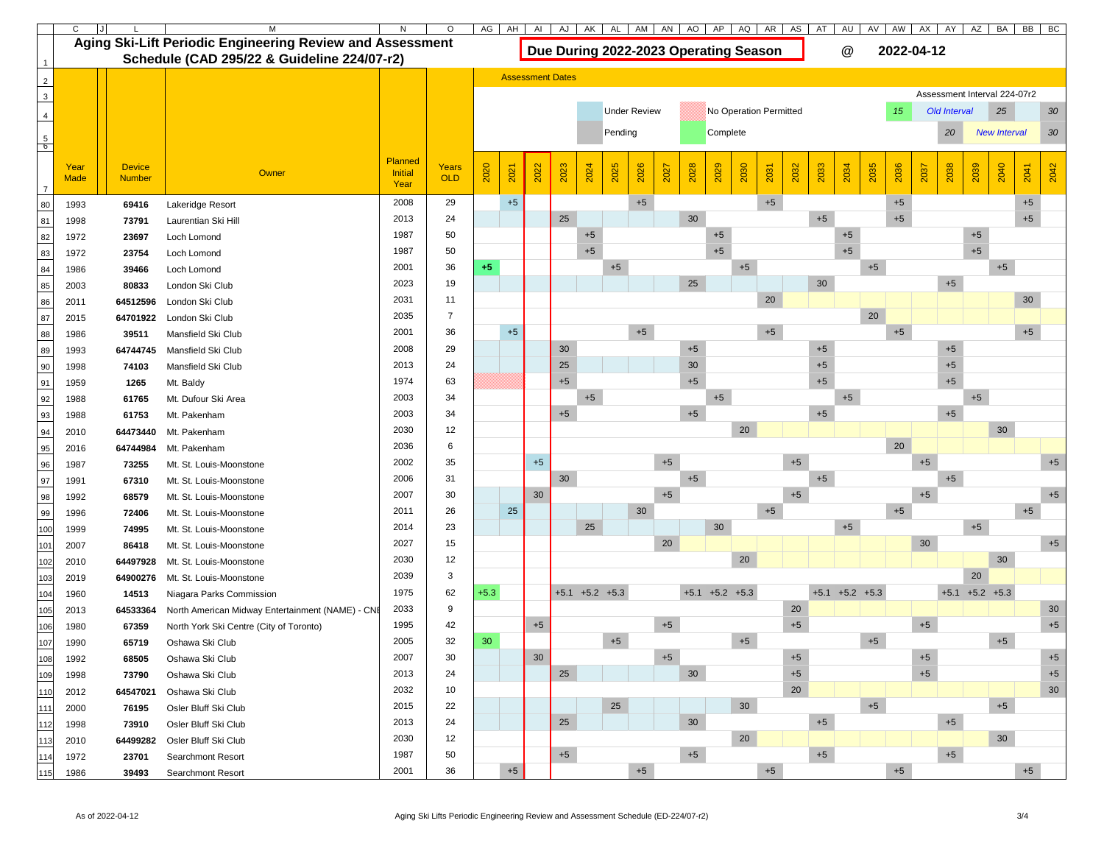|                                         |                     |                                |                                                           |                |              | AG     | AH                                            | AI                      | AJ   | AK               | AL      | AM   | AN   | AO   | AP                                    | AQ   | AR AS        | AT   | AU                              | AV                   | AW           | AX                  | AY                                           | AZ                   | BA                           | <b>BB</b><br>BC |                |
|-----------------------------------------|---------------------|--------------------------------|-----------------------------------------------------------|----------------|--------------|--------|-----------------------------------------------|-------------------------|------|------------------|---------|------|------|------|---------------------------------------|------|--------------|------|---------------------------------|----------------------|--------------|---------------------|----------------------------------------------|----------------------|------------------------------|-----------------|----------------|
|                                         |                     |                                | Aging Ski-Lift Periodic Engineering Review and Assessment |                |              |        |                                               |                         |      |                  |         |      |      |      | Due During 2022-2023 Operating Season |      |              |      | $\bm{\mathsf{\textcircled{a}}}$ |                      | 2022-04-12   |                     |                                              |                      |                              |                 |                |
|                                         |                     |                                | <b>Schedule (CAD 295/22 &amp; Guideline 224/07-r2)</b>    |                |              |        |                                               | <b>Assessment Dates</b> |      |                  |         |      |      |      |                                       |      |              |      |                                 |                      |              |                     |                                              |                      |                              |                 |                |
| $\begin{array}{c c} 2 \\ 3 \end{array}$ |                     |                                |                                                           |                |              |        |                                               |                         |      |                  |         |      |      |      |                                       |      |              |      |                                 |                      |              |                     |                                              |                      | Assessment Interval 224-07r2 |                 |                |
|                                         |                     |                                |                                                           |                |              |        | <b>Under Review</b><br>No Operation Permitted |                         |      |                  |         |      |      |      |                                       |      |              |      |                                 | 15                   |              | <b>Old Interval</b> |                                              | 25                   | 30                           |                 |                |
| $\overline{4}$                          |                     |                                |                                                           |                |              |        |                                               |                         |      |                  |         |      |      |      |                                       |      |              |      |                                 |                      |              |                     |                                              |                      |                              |                 |                |
| $\begin{array}{c} 5 \\ 6 \end{array}$   |                     |                                |                                                           |                |              |        |                                               |                         |      |                  | Pending |      |      |      | Complete                              |      |              |      |                                 |                      |              |                     | 20<br>30 <sup>°</sup><br><b>New Interval</b> |                      |                              |                 |                |
|                                         |                     |                                |                                                           | Planned        |              |        |                                               |                         |      |                  |         |      |      |      |                                       |      |              |      |                                 |                      |              |                     |                                              |                      |                              |                 |                |
|                                         | Year<br><b>Made</b> | <b>Device</b><br><b>Number</b> | Owner                                                     | <b>Initial</b> | Years<br>OLD | 2020   | 2021                                          | 2022                    | 2023 | 2024             | 2025    | 2026 | 2027 | 2028 | 2029                                  | 2030 | 2032<br>2031 | 2033 | 2034                            | 2035                 | 2036         | 2037                | 2038                                         | 2039                 | 2040                         | 2042<br>2041    |                |
|                                         |                     |                                |                                                           | Year           |              |        |                                               |                         |      |                  |         |      |      |      |                                       |      |              |      |                                 |                      |              |                     |                                              |                      |                              |                 |                |
| 80                                      | 1993                | 69416                          | Lakeridge Resort                                          | 2008           | 29           |        | $+5$                                          |                         |      |                  |         | $+5$ |      | 30   |                                       |      | $+5$         | $+5$ |                                 |                      | $+5$<br>$+5$ |                     |                                              |                      |                              | $+5$            |                |
| 81                                      | 1998                | 73791                          | Laurentian Ski Hill                                       | 2013<br>1987   | 24<br>50     |        |                                               |                         | 25   |                  |         |      |      |      | $+5$                                  |      |              |      |                                 |                      |              |                     |                                              | $+5$                 |                              | $+5$            |                |
| 82                                      | 1972                | 23697                          | Loch Lomond                                               | 1987           | 50           |        |                                               |                         |      | $+5$<br>$+5$     |         |      |      |      | $+5$                                  |      |              |      | $+5$<br>$+5$                    |                      |              |                     |                                              | $+5$                 |                              |                 |                |
| 83                                      | 1972                | 23754                          | Loch Lomond                                               | 2001           | 36           | $+5$   |                                               |                         |      |                  | $+5$    |      |      |      |                                       | $+5$ |              |      |                                 | $+5$                 |              |                     |                                              |                      | $+5$                         |                 |                |
| 84<br>85                                | 1986<br>2003        | 39466<br>80833                 | Loch Lomond<br>London Ski Club                            | 2023           | 19           |        |                                               |                         |      |                  |         |      |      | 25   |                                       |      |              | 30   |                                 |                      |              |                     | $+5$                                         |                      |                              |                 |                |
| 86                                      | 2011                | 64512596                       | London Ski Club                                           | 2031           | 11           |        |                                               |                         |      |                  |         |      |      |      |                                       |      | 20           |      |                                 |                      |              |                     |                                              |                      |                              | 30              |                |
| 87                                      | 2015                | 64701922                       | London Ski Club                                           | 2035           |              |        |                                               |                         |      |                  |         |      |      |      |                                       |      |              |      |                                 | 20                   |              |                     |                                              |                      |                              |                 |                |
| 88                                      | 1986                | 39511                          | Mansfield Ski Club                                        | 2001           | 36           |        | $+5$                                          |                         |      |                  |         | $+5$ |      |      |                                       |      | $+5$         |      |                                 |                      | $+5$         |                     |                                              |                      |                              | $+5$            |                |
| 89                                      | 1993                | 64744745                       | Mansfield Ski Club                                        | 2008           | 29           |        |                                               |                         | 30   |                  |         |      |      | $+5$ |                                       |      |              | $+5$ |                                 |                      |              |                     | $+5$                                         |                      |                              |                 |                |
| 90                                      | 1998                | 74103                          | Mansfield Ski Club                                        | 2013           | 24           |        |                                               |                         | 25   |                  |         |      |      | 30   |                                       |      |              | $+5$ |                                 |                      |              |                     | $+5$                                         |                      |                              |                 |                |
| 91                                      | 1959                | 1265                           | Mt. Baldy                                                 | 1974           | 63           |        |                                               |                         | $+5$ |                  |         |      |      | $+5$ |                                       |      |              | $+5$ |                                 |                      |              |                     | $+5$                                         |                      |                              |                 |                |
| 92                                      | 1988                | 61765                          | Mt. Dufour Ski Area                                       | 2003           | 34           |        |                                               |                         |      | $+5$             |         |      |      |      | $+5$                                  |      |              |      | $+5$                            |                      |              |                     |                                              | $+5$                 |                              |                 |                |
| 93                                      | 1988                | 61753                          | Mt. Pakenham                                              | 2003           | 34           |        |                                               |                         | $+5$ |                  |         |      |      | $+5$ |                                       |      |              | $+5$ |                                 |                      |              |                     | $+5$                                         |                      |                              |                 |                |
| 94                                      | 2010                | 64473440                       | Mt. Pakenham                                              | 2030           | 12           |        |                                               |                         |      |                  |         |      |      |      |                                       | 20   |              |      |                                 |                      |              |                     |                                              |                      | 30                           |                 |                |
| 95                                      | 2016                | 64744984                       | Mt. Pakenham                                              | 2036           | 6            |        |                                               |                         |      |                  |         |      |      |      |                                       |      |              |      |                                 |                      | 20           |                     |                                              |                      |                              |                 |                |
| 96                                      | 1987                | 73255                          | Mt. St. Louis-Moonstone                                   | 2002           | 35           |        |                                               | $+5$                    |      |                  |         |      | $+5$ |      |                                       |      | $+5$         |      |                                 |                      |              | $+5$                |                                              |                      |                              |                 | $+5$           |
| 97                                      | 1991                | 67310                          | Mt. St. Louis-Moonstone                                   | 2006           | 31           |        |                                               |                         | 30   |                  |         |      |      | $+5$ |                                       |      |              | $+5$ |                                 |                      |              |                     | $+5$                                         |                      |                              |                 |                |
| 98                                      | 1992                | 68579                          | Mt. St. Louis-Moonstone                                   | 2007           | 30           |        |                                               | $30\,$                  |      |                  |         |      | $+5$ |      |                                       |      | $+5$         |      |                                 |                      |              | $+5$                |                                              |                      |                              | $+5$            |                |
| 99                                      | 1996                | 72406                          | Mt. St. Louis-Moonstone                                   | 2011           | 26           |        | 25                                            |                         |      |                  |         | 30   |      |      |                                       |      | $+5$         |      |                                 |                      | $+5$         |                     |                                              |                      |                              | $+5$            |                |
| 100                                     | 1999                | 74995                          | Mt. St. Louis-Moonstone                                   | 2014           | 23           |        |                                               |                         |      | 25               |         |      |      |      | 30 <sup>°</sup>                       |      |              |      | $+5$                            |                      |              |                     |                                              | $+5$                 |                              |                 |                |
| 101                                     | 2007                | 86418                          | Mt. St. Louis-Moonstone                                   | 2027           | 15           |        |                                               |                         |      |                  |         |      | 20   |      |                                       |      |              |      |                                 |                      |              | 30                  |                                              |                      |                              | $+5$            |                |
| 102                                     | 2010                | 64497928                       | Mt. St. Louis-Moonstone                                   | 2030           | 12           |        |                                               |                         |      |                  |         |      |      |      |                                       | 20   |              |      |                                 |                      |              |                     |                                              |                      | 30                           |                 |                |
| 103                                     | 2019                | 64900276                       | Mt. St. Louis-Moonstone                                   | 2039           | 3            |        |                                               |                         |      |                  |         |      |      |      |                                       |      |              |      |                                 |                      |              |                     |                                              | 20                   |                              |                 |                |
| 104                                     | 1960                | 14513                          | Niagara Parks Commission                                  | 1975           | 62           | $+5.3$ |                                               |                         |      | $+5.1$ +5.2 +5.3 |         |      |      |      | $+5.1$ $+5.2$ $+5.3$                  |      |              |      |                                 | $+5.1$ $+5.2$ $+5.3$ |              |                     |                                              | $+5.1$ $+5.2$ $+5.3$ |                              |                 |                |
| 105                                     | 2013                | 64533364                       | North American Midway Entertainment (NAME) - CNI          | 2033           | 9            |        |                                               |                         |      |                  |         |      |      |      |                                       |      | 20           |      |                                 |                      |              |                     |                                              |                      |                              | 30              |                |
| 106                                     | 1980                | 67359                          | North York Ski Centre (City of Toronto)                   | 1995           | 42           |        |                                               | $+5$                    |      |                  |         |      | $+5$ |      |                                       |      | $+5$         |      |                                 |                      |              | $+5$                |                                              |                      |                              |                 | $+5$           |
| 107                                     | 1990                | 65719                          | Oshawa Ski Club                                           | 2005           | 32           | 30     |                                               |                         |      |                  | $+5$    |      |      |      |                                       | $+5$ |              |      |                                 | $+5$                 |              |                     |                                              |                      | $+5$                         |                 |                |
| 108                                     | 1992                | 68505                          | Oshawa Ski Club                                           | 2007           | 30           |        |                                               | $30\,$                  |      |                  |         |      | $+5$ |      |                                       |      | $+5$         |      |                                 |                      |              | $+5$                |                                              |                      |                              |                 | $+5$           |
| 109                                     | 1998                | 73790                          | Oshawa Ski Club                                           | 2013<br>2032   | 24           |        |                                               |                         | 25   |                  |         |      |      | 30   |                                       |      | $+5$<br>20   |      |                                 |                      |              | $+5$                |                                              |                      |                              |                 | $+5$<br>$30\,$ |
| 110                                     | 2012                | 64547021                       | Oshawa Ski Club                                           | 2015           | 10<br>22     |        |                                               |                         |      |                  | 25      |      |      |      |                                       | 30   |              |      |                                 | $+5$                 |              |                     |                                              |                      | $+5$                         |                 |                |
| 111                                     | 2000                | 76195                          | Osler Bluff Ski Club                                      | 2013           | 24           |        |                                               |                         | 25   |                  |         |      |      | 30   |                                       |      |              | $+5$ |                                 |                      |              |                     | $+5$                                         |                      |                              |                 |                |
| 112                                     | 1998                | 73910                          | Osler Bluff Ski Club                                      | 2030           | 12           |        |                                               |                         |      |                  |         |      |      |      |                                       | 20   |              |      |                                 |                      |              |                     |                                              |                      | 30                           |                 |                |
| 113<br>114                              | 2010                | 64499282                       | Osler Bluff Ski Club                                      | 1987           | 50           |        |                                               |                         | $+5$ |                  |         |      |      | $+5$ |                                       |      |              | $+5$ |                                 |                      |              |                     | $+5$                                         |                      |                              |                 |                |
|                                         | 1972                | 23701                          | Searchmont Resort                                         | 2001           | 36           |        | $+5$                                          |                         |      |                  |         | $+5$ |      |      |                                       |      | $+5$         |      |                                 |                      | $+5$         |                     |                                              |                      |                              | $+5$            |                |
| 115                                     | 1986                | 39493                          | <b>Searchmont Resort</b>                                  |                |              |        |                                               |                         |      |                  |         |      |      |      |                                       |      |              |      |                                 |                      |              |                     |                                              |                      |                              |                 |                |